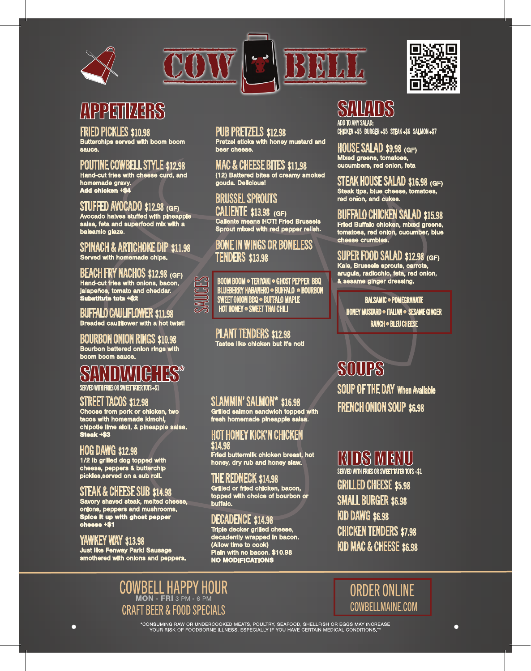





#### FRIED PICKLES \$10.98

Butterchips served with boom boom sauce.

# POUTINE COWBELL STYLE \$12.98

Hand-cut fries with cheese curd, and homemade gravy. Add chicken +\$4

## STUFFED AVOCADO \$12.98 (GF)

Avocado halves stuffed with pineapple salsa, feta and superfood mix with a balsamic glaze.

#### SPINACH & ARTICHOKE DIP \$11.98 Served with homemade chips.

BEACH FRY NACHOS \$12.98 (GF) Hand-cut fries with onions, bacon, jalapeños, tomato and cheddar. Substitute tots +\$2

#### BUFFALO CAULIFLOWER \$11.98 Breaded cauliflower with a hot twist!

BOURBON ONION RINGS \$10.98 Bourbon battered onion rings with boom boom sauce.

# SANDWICHES\* SERVED WITH FRIES OR SWEET TATER TOTS +\$1

## STREET TACOS \$12.98

Choose from pork or chicken, two tacos with homemade kimchi, chipotle lime aioli, & pineapple salsa. Steak +\$3

## HOG DAWG \$12.98

1/2 lb grilled dog topped with cheese, peppers & butterchip pickles,served on a sub roll.

# STEAK & CHEESE SUB \$14.98

Savory shaved steak, melted cheese, onions, peppers and mushrooms. Spice it up with ghost pepper cheese +\$1

# YAWKEY WAY \$13.98

Ō

Just like Fenway Park! Sausage smothered with onions and peppers.

### PUB PRETZELS \$12.98

Pretzel sticks with honey mustard and beer cheese.

MAC & CHEESE BITES \$11.98 (12) Battered bites of creamy smoked gouda. Delicious!

# BRUSSEL SPROUTS

CALIENTE \$13.98 (GF) Caliente means HOT! Fried Brussels Sprout mixed with red pepper relish.

# BONE IN WINGS OR BONELESS TENDERS \$13.98

SAUCES BOOM BOOM • TERIYAKI • GHOST PEPPER BBQ<br>SAUCES BRANERY HABANERO • BUFFALO • BOURBOI<br>SAUCES INTERIOR • SAVEET THAI CHILI<br>FOT HONEY • SWEET THAI CHILI BLUEBERRY HABANERO • BUFFALO • BOURBON SWEET ONION BBQ • BUFFALO MAPLE HOT HONEY  $\bullet$  SWEET THAI CHILI

> PLANT TENDERS \$12.98 Tastes like chicken but it's not!

## SLAMMIN' SALMON\* \$16.98

Grilled salmon sandwich topped with fresh homemade pineapple salsa.

# HOT HONEY KICK'N CHICKEN \$14.98 Fried buttermilk chicken breast, hot

honey, dry rub and honey slaw.

# THE REDNECK \$14.98

Grilled or fried chicken, bacon, topped with choice of bourbon or buffalo.

# DECADENCE \$14.98

Triple decker grilled cheese, decadently wrapped in bacon. (Allow time to cook) Plain with no bacon. \$10.98 NO MODIFICATIONS

# SALAD

ADD TO ANY SALAD: CHICKEN +\$5 BURGER +\$5 STEAK +\$6 SALMON +\$7

П

HOUSE SALAD \$9.98 (GF) Mixed greens, tomatoes, cucumbers, red onion, feta

STEAK HOUSE SALAD \$16.98 (GF) Steak tips, blue cheese, tomatoes, red onion, and cukes.

# BUFFALO CHICKEN SALAD \$15.98

Fried Buffalo chicken, mixed greens, tomatoes, red onion, cucumber, blue cheese crumbles.

#### SUPER FOOD SALAD \$12.98 (GF) Kale, Brussels sprouts, carrots, arugula, radicchio, feta, red onion,

& sesame ginger dressing.

BALSAMIC · POMEGRANATE HONEY MUSTARD · ITALIAN · SESAME GINGER RANCH • BLEU CHEESE

# **SOUPS**

SOUP OF THE DAY When Available FRENCH ONION SOUP \$6.98

# KIDS MENU

SERVED WITH FRIES OR SWEET TATER TOTS +\$1 GRILLED CHEESE \$5.98 SMALL BURGER \$6.98 KID DAWG \$6.98 CHICKEN TENDERS \$7.98 KID MAC & CHEESE \$6.98

WBELL HAPPY HOUR CRAFT BFFR & FOOD SPFCIALS

ORDER ONLINE COWBELLMAINE.COM

 $\bullet$ 

\*CONSUMING RAW OR UNDERCOOKED MEATS, POULTRY, SEAFOOD, SHELLFISH OR EGGS MAY INCREASE<br>\*\*\* YOUR RISK OF FOODBORNE ILLNESS, ESPECIALLY IF YOU HAVE CERTAIN MEDICAL CONDITIONS."